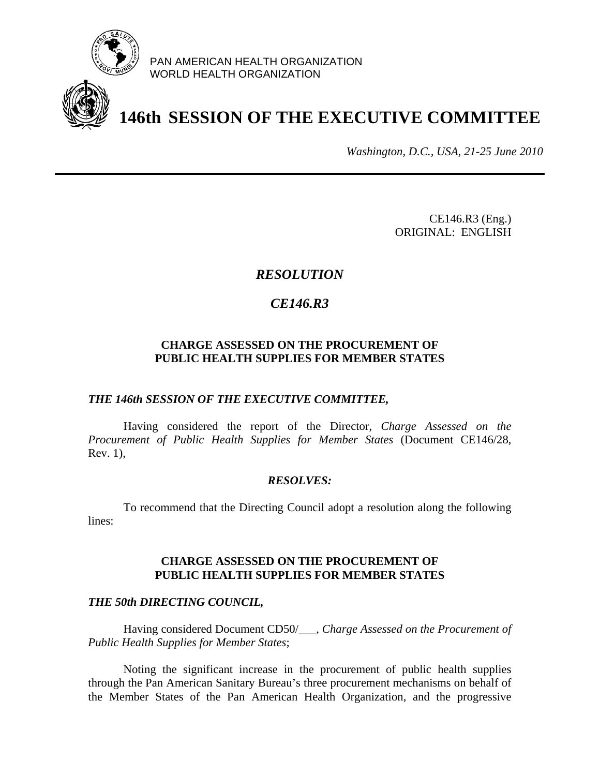

PAN AMERICAN HEALTH ORGANIZATION WORLD HEALTH ORGANIZATION

# **146th SESSION OF THE EXECUTIVE COMMITTEE**

*Washington, D.C., USA, 21-25 June 2010*

CE146.R3 (Eng.) ORIGINAL: ENGLISH

## *RESOLUTION*

# *CE146.R3*

### **CHARGE ASSESSED ON THE PROCUREMENT OF PUBLIC HEALTH SUPPLIES FOR MEMBER STATES**

### *THE 146th SESSION OF THE EXECUTIVE COMMITTEE,*

Having considered the report of the Director, *Charge Assessed on the Procurement of Public Health Supplies for Member States* (Document CE146/28, Rev. 1),

### *RESOLVES:*

To recommend that the Directing Council adopt a resolution along the following lines:

### **CHARGE ASSESSED ON THE PROCUREMENT OF PUBLIC HEALTH SUPPLIES FOR MEMBER STATES**

### *THE 50th DIRECTING COUNCIL,*

Having considered Document CD50/\_\_\_, *Charge Assessed on the Procurement of Public Health Supplies for Member States*;

Noting the significant increase in the procurement of public health supplies through the Pan American Sanitary Bureau's three procurement mechanisms on behalf of the Member States of the Pan American Health Organization, and the progressive